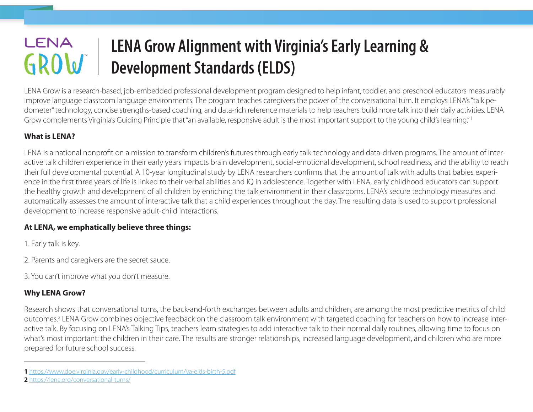# LENA **LENA Grow Alignment with Virginia's Early Learning &**  GROW **Development Standards (ELDS)**

LENA Grow is a research-based, job-embedded professional development program designed to help infant, toddler, and preschool educators measurably improve language classroom language environments. The program teaches caregivers the power of the conversational turn. It employs LENA's "talk pedometer" technology, concise strengths-based coaching, and data-rich reference materials to help teachers build more talk into their daily activities. LENA Grow complements Virginia's Guiding Principle that "an available, responsive adult is the most important support to the young child's learning." 1

### **What is LENA?**

LENA is a national nonprofit on a mission to transform children's futures through early talk technology and data-driven programs. The amount of interactive talk children experience in their early years impacts brain development, social-emotional development, school readiness, and the ability to reach their full developmental potential. A 10-year longitudinal study by LENA researchers confirms that the amount of talk with adults that babies experience in the first three years of life is linked to their verbal abilities and IQ in adolescence. Together with LENA, early childhood educators can support the healthy growth and development of all children by enriching the talk environment in their classrooms. LENA's secure technology measures and automatically assesses the amount of interactive talk that a child experiences throughout the day. The resulting data is used to support professional development to increase responsive adult-child interactions.

#### **At LENA, we emphatically believe three things:**

1. Early talk is key.

2. Parents and caregivers are the secret sauce.

3. You can't improve what you don't measure.

## **Why LENA Grow?**

Research shows that conversational turns, the back-and-forth exchanges between adults and children, are among the most predictive metrics of child outcomes.<sup>2</sup> LENA Grow combines objective feedback on the classroom talk environment with targeted coaching for teachers on how to increase interactive talk. By focusing on LENA's Talking Tips, teachers learn strategies to add interactive talk to their normal daily routines, allowing time to focus on what's most important: the children in their care. The results are stronger relationships, increased language development, and children who are more prepared for future school success.

**<sup>1</sup>** <https://www.doe.virginia.gov/early-childhood/curriculum/va-elds-birth-5.pdf>

**<sup>2</sup>** <https://lena.org/conversational-turns/>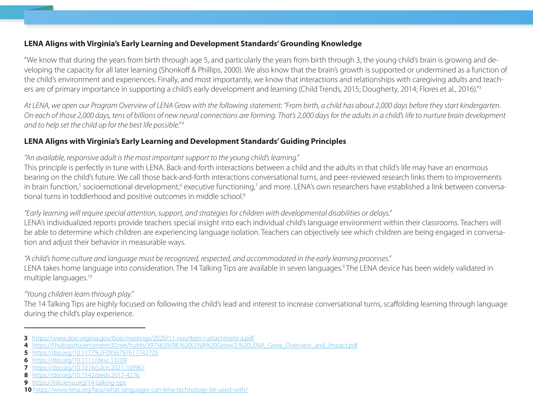#### **LENA Aligns with Virginia's Early Learning and Development Standards' Grounding Knowledge**

"We know that during the years from birth through age 5, and particularly the years from birth through 3, the young child's brain is growing and developing the capacity for all later learning (Shonkoff & Phillips, 2000). We also know that the brain's growth is supported or undermined as a function of the child's environment and experiences. Finally, and most importantly, we know that interactions and relationships with caregiving adults and teachers are of primary importance in supporting a child's early development and learning (Child Trends, 2015; Dougherty, 2014; Flores et al., 2016)."<sup>3</sup>

*At LENA, we open our Program Overview of LENA Grow with the following statement: "From birth, a child has about 2,000 days before they start kindergarten. On each of those 2,000 days, tens of billions of new neural connections are forming. That's 2,000 days for the adults in a child's life to nurture brain development and to help set the child up for the best life possible." 4*

#### **LENA Aligns with Virginia's Early Learning and Development Standards' Guiding Principles**

#### *"An available, responsive adult is the most important support to the young child's learning."*

This principle is perfectly in tune with LENA. Back-and-forth interactions between a child and the adults in that child's life may have an enormous bearing on the child's future. We call those back-and-forth interactions conversational turns, and peer-reviewed research links them to improvements in brain function,<sup>5</sup> socioemotional development,<sup>6</sup> executive functioning,<sup>7</sup> and more. LENA's own researchers have established a link between conversational turns in toddlerhood and positive outcomes in middle school.8

#### *"Early learning will require special attention, support, and strategies for children with developmental disabilities or delays."*

LENA's individualized reports provide teachers special insight into each individual child's language environment within their classrooms. Teachers will be able to determine which children are experiencing language isolation. Teachers can objectively see which children are being engaged in conversation and adjust their behavior in measurable ways.

*"A child's home culture and language must be recognized, respected, and accommodated in the early learning processes."* LENA takes home language into consideration. The 14 Talking Tips are available in seven languages.<sup>9</sup> The LENA device has been widely validated in multiple languages.10

### *"Young children learn through play."*

The 14 Talking Tips are highly focused on following the child's lead and interest to increase conversational turns, scaffolding learning through language during the child's play experience.

**<sup>3</sup>** <https://www.doe.virginia.gov/boe/meetings/2020/11-nov/item-l-attachment-a.pdf>

**<sup>4</sup>** [https://f.hubspotusercontent30.net/hubfs/3975639/08.%20LENA%20Grow/2.%20LENA\\_Grow\\_Overview\\_and\\_Impact.pdf](https://f.hubspotusercontent30.net/hubfs/3975639/08.%20LENA%20Grow/2.%20LENA_Grow_Overview_and_Impact.pdf)

**<sup>5</sup>** <https://doi.org/10.1177%2F0956797617742725>

**<sup>6</sup>** <https://doi.org/10.1111/desc.13109>

**<sup>7</sup>** <https://doi.org/10.1016/j.dcn.2021.100967>

**<sup>8</sup>** <https://doi.org/10.1542/peds.2017-4276>

**<sup>9</sup>** <https://info.lena.org/14-talking-tips>

**<sup>10</sup>** https://www.lena.org/faqs/what-languages-can-lena-technology-be-used-with/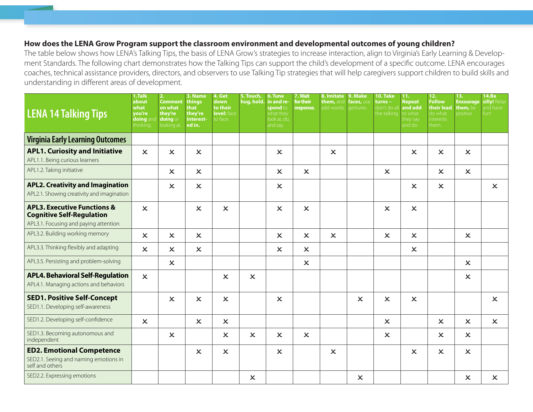#### **How does the LENA Grow Program support the classroom environment and developmental outcomes of young children?**

The table below shows how LENA's Talking Tips, the basis of LENA Grow's strategies to increase interaction, align to Virginia's Early Learning & Development Standards. The following chart demonstrates how the Talking Tips can support the child's development of a specific outcome. LENA encourages coaches, technical assistance providers, directors, and observers to use Talking Tip strategies that will help caregivers support children to build skills and understanding in different areas of development.

| <b>LENA 14 Talking Tips</b>                                                                  | 1.Talk<br>about<br>what<br>you're<br>doing an<br>thinking. | 2.<br><b>Comment</b><br>on what<br>they're<br>doing or<br>looking at. | 3. Name<br>things<br>that<br>they're<br>interest-<br>ed in. | 4. Get<br>down<br>to their<br>level: face<br>to face. | 5. Touch,<br>hug, hold.   | 6. Tune<br>in and re-<br>spond to<br>what they<br>look at, do,<br>and say. | 7. Wait<br>for their<br>response. | 8. Imitate<br>them, anc<br>add words. | 9. Make<br>faces, use<br>gestures. | 10. Take<br>turns –<br>don't do all<br>the talking | 11.<br><b>Repeat</b><br>and add<br>to what<br>they say<br>and do l | 12.<br><b>Follow</b><br>their lead,<br>do what<br>interests<br>them. | 13.<br><b>Encourage</b><br>them, be<br>positive. | 14.Be<br>silly! Relax<br>and have<br>fun! |
|----------------------------------------------------------------------------------------------|------------------------------------------------------------|-----------------------------------------------------------------------|-------------------------------------------------------------|-------------------------------------------------------|---------------------------|----------------------------------------------------------------------------|-----------------------------------|---------------------------------------|------------------------------------|----------------------------------------------------|--------------------------------------------------------------------|----------------------------------------------------------------------|--------------------------------------------------|-------------------------------------------|
| <b>Virginia Early Learning Outcomes</b>                                                      |                                                            |                                                                       |                                                             |                                                       |                           |                                                                            |                                   |                                       |                                    |                                                    |                                                                    |                                                                      |                                                  |                                           |
| <b>APL1. Curiosity and Initiative</b>                                                        | $\overline{\mathsf{x}}$                                    | $\boldsymbol{\mathsf{x}}$                                             | $\mathsf{x}$                                                |                                                       |                           | $\boldsymbol{\mathsf{x}}$                                                  |                                   | $\boldsymbol{\mathsf{x}}$             |                                    |                                                    | $\overline{\mathsf{x}}$                                            | $\mathsf{x}$                                                         | $\boldsymbol{\mathsf{x}}$                        |                                           |
| APL1.1. Being curious learners                                                               |                                                            |                                                                       |                                                             |                                                       |                           |                                                                            |                                   |                                       |                                    |                                                    |                                                                    |                                                                      |                                                  |                                           |
| APL1.2. Taking initiative                                                                    |                                                            | $\boldsymbol{\mathsf{x}}$                                             | $\mathsf{x}$                                                |                                                       |                           | $\mathsf{x}$                                                               | $\boldsymbol{\mathsf{x}}$         |                                       |                                    | $\boldsymbol{\mathsf{x}}$                          |                                                                    | $\boldsymbol{\mathsf{x}}$                                            | $\boldsymbol{\mathsf{x}}$                        |                                           |
| <b>APL2. Creativity and Imagination</b><br>APL2.1. Showing creativity and imagination        |                                                            | $\boldsymbol{\mathsf{x}}$                                             | $\mathsf{x}$                                                |                                                       |                           | $\mathsf{x}$                                                               |                                   |                                       |                                    |                                                    | $\boldsymbol{\mathsf{x}}$                                          | $\boldsymbol{\mathsf{x}}$                                            |                                                  | $\boldsymbol{\mathsf{x}}$                 |
| <b>APL3. Executive Functions &amp;</b><br><b>Cognitive Self-Regulation</b>                   | $\mathbf x$                                                |                                                                       | $\boldsymbol{\mathsf{x}}$                                   | $\boldsymbol{\mathsf{x}}$                             |                           | $\mathsf{x}$                                                               | $\boldsymbol{\mathsf{x}}$         |                                       |                                    | $\boldsymbol{\mathsf{x}}$                          | $\boldsymbol{\mathsf{x}}$                                          |                                                                      |                                                  |                                           |
| APL3.1. Focusing and paying attention                                                        |                                                            |                                                                       |                                                             |                                                       |                           |                                                                            |                                   |                                       |                                    |                                                    |                                                                    |                                                                      |                                                  |                                           |
| APL3.2. Building working memory                                                              | $\boldsymbol{\mathsf{x}}$                                  | $\boldsymbol{\mathsf{x}}$                                             | $\mathsf{x}$                                                |                                                       |                           | $\boldsymbol{\mathsf{x}}$                                                  | $\boldsymbol{\mathsf{x}}$         | $\boldsymbol{\mathsf{x}}$             |                                    | $\boldsymbol{\mathsf{x}}$                          | $\boldsymbol{\mathsf{x}}$                                          |                                                                      | $\boldsymbol{\mathsf{x}}$                        |                                           |
| APL3.3. Thinking flexibly and adapting                                                       | $\boldsymbol{\mathsf{x}}$                                  | $\boldsymbol{\mathsf{x}}$                                             | $\mathsf{x}$                                                |                                                       |                           | $\mathsf{x}$                                                               | $\boldsymbol{\mathsf{x}}$         |                                       |                                    |                                                    | $\boldsymbol{\mathsf{x}}$                                          |                                                                      |                                                  |                                           |
| APL3.5. Persisting and problem-solving                                                       |                                                            | $\boldsymbol{\mathsf{x}}$                                             |                                                             |                                                       |                           |                                                                            | $\mathsf{x}$                      |                                       |                                    |                                                    |                                                                    |                                                                      | $\mathsf{x}$                                     |                                           |
| <b>APL4. Behavioral Self-Regulation</b><br>APL4.1. Managing actions and behaviors            | $\boldsymbol{\mathsf{x}}$                                  |                                                                       |                                                             | $\boldsymbol{\mathsf{x}}$                             | $\overline{\mathsf{x}}$   |                                                                            |                                   |                                       |                                    |                                                    |                                                                    |                                                                      | $\boldsymbol{\mathsf{x}}$                        |                                           |
| <b>SED1. Positive Self-Concept</b><br>SED1.1. Developing self-awareness                      |                                                            | $\boldsymbol{\mathsf{x}}$                                             | $\overline{\mathsf{x}}$                                     | $\mathsf{x}$                                          |                           | $\overline{\mathsf{x}}$                                                    |                                   |                                       | $\boldsymbol{\mathsf{x}}$          | $\boldsymbol{\mathsf{x}}$                          | $\overline{\mathsf{x}}$                                            |                                                                      |                                                  | $\mathsf{x}$                              |
| SED1.2. Developing self-confidence                                                           | $\mathsf{x}$                                               |                                                                       | $\boldsymbol{\mathsf{x}}$                                   | $\boldsymbol{\mathsf{x}}$                             |                           |                                                                            |                                   |                                       |                                    | $\boldsymbol{\mathsf{x}}$                          |                                                                    | $\boldsymbol{\mathsf{x}}$                                            | $\mathsf{x}$                                     | $\boldsymbol{\mathsf{x}}$                 |
| SED1.3. Becoming autonomous and<br>independent                                               |                                                            | $\boldsymbol{\mathsf{x}}$                                             |                                                             | $\boldsymbol{\mathsf{x}}$                             | $\overline{\mathsf{x}}$   | $\overline{\mathsf{x}}$                                                    | $\boldsymbol{\mathsf{x}}$         |                                       |                                    | $\boldsymbol{\mathsf{x}}$                          |                                                                    | $\boldsymbol{\mathsf{x}}$                                            | $\boldsymbol{\mathsf{x}}$                        |                                           |
| <b>ED2. Emotional Competence</b><br>SED2.1. Seeing and naming emotions in<br>self and others |                                                            |                                                                       | $\overline{\mathsf{x}}$                                     | $\boldsymbol{\mathsf{x}}$                             |                           | $\overline{\mathsf{x}}$                                                    |                                   | $\boldsymbol{\mathsf{x}}$             |                                    |                                                    | $\overline{\mathsf{x}}$                                            | $\mathsf{x}$                                                         | $\mathsf{x}$                                     |                                           |
| SED2.2. Expressing emotions                                                                  |                                                            |                                                                       |                                                             |                                                       | $\boldsymbol{\mathsf{x}}$ |                                                                            |                                   |                                       | $\boldsymbol{\mathsf{x}}$          |                                                    |                                                                    |                                                                      | $\boldsymbol{\mathsf{x}}$                        | $\boldsymbol{\mathsf{x}}$                 |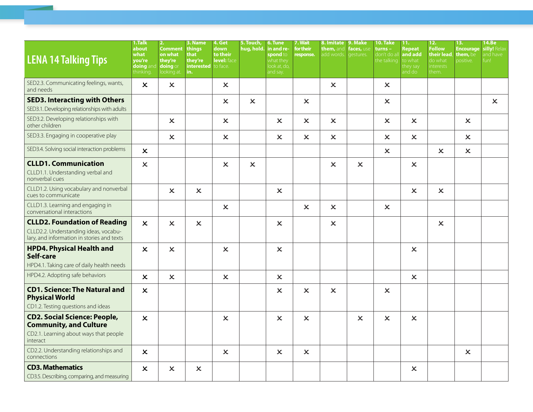| <b>LENA 14 Talking Tips</b>                                                                                                | 1.Talk<br>about<br>what<br>you're<br>doing and<br>thinking | 2.<br><b>Comment</b><br>on what<br>they're<br>doing or<br>looking at. | 3. Name<br>things<br>that<br>they're<br><b>interested</b><br>in. | 4. Get<br>down<br>to their<br>level: face<br>to face. | 5. Touch,<br>hug, hold.   | 6. Tune<br>in and re-<br>spond to<br>what they<br>look at, do,<br>and say. | 7. Wait<br>for their<br>response. | 8. Imitate 9. Make<br>them, and<br>add words. | faces, use<br>gestures. | 10. Take<br>turns –<br>don't do al<br>the talking | 11.<br>Repeat<br>and add<br>to what<br>they say<br>and dol | 12.<br><b>Follow</b><br>their lead.<br>do what<br>nterests<br>them. | 13.<br><b>Encourage</b><br>them. be<br>positive. | 14.Be<br>silly! Relax<br>and have<br>fun! |
|----------------------------------------------------------------------------------------------------------------------------|------------------------------------------------------------|-----------------------------------------------------------------------|------------------------------------------------------------------|-------------------------------------------------------|---------------------------|----------------------------------------------------------------------------|-----------------------------------|-----------------------------------------------|-------------------------|---------------------------------------------------|------------------------------------------------------------|---------------------------------------------------------------------|--------------------------------------------------|-------------------------------------------|
| SED2.3. Communicating feelings, wants,<br>and needs                                                                        | $\mathsf{x}$                                               | $\boldsymbol{\mathsf{x}}$                                             |                                                                  | $\boldsymbol{\mathsf{x}}$                             |                           |                                                                            |                                   | $\boldsymbol{\mathsf{x}}$                     |                         | $\boldsymbol{\mathsf{x}}$                         |                                                            |                                                                     |                                                  |                                           |
| <b>SED3. Interacting with Others</b><br>SED3.1. Developing relationships with adults                                       |                                                            |                                                                       |                                                                  | $\boldsymbol{\mathsf{x}}$                             | $\boldsymbol{\mathsf{x}}$ |                                                                            | $\boldsymbol{\mathsf{x}}$         |                                               |                         | $\boldsymbol{\mathsf{x}}$                         |                                                            |                                                                     |                                                  | $\boldsymbol{\mathsf{x}}$                 |
| SED3.2. Developing relationships with<br>other children                                                                    |                                                            | $\boldsymbol{\mathsf{x}}$                                             |                                                                  | $\mathsf{x}$                                          |                           | $\overline{\mathsf{x}}$                                                    | $\boldsymbol{\mathsf{x}}$         | $\overline{\mathsf{x}}$                       |                         | $\pmb{\times}$                                    | $\overline{\mathsf{x}}$                                    |                                                                     | $\pmb{\times}$                                   |                                           |
| SED3.3. Engaging in cooperative play                                                                                       |                                                            | $\boldsymbol{\mathsf{x}}$                                             |                                                                  | $\boldsymbol{\mathsf{x}}$                             |                           | $\boldsymbol{\mathsf{x}}$                                                  | $\boldsymbol{\mathsf{x}}$         | $\mathsf{x}$                                  |                         | $\boldsymbol{\mathsf{x}}$                         | $\mathsf{x}$                                               |                                                                     | $\boldsymbol{\mathsf{x}}$                        |                                           |
| SED3.4. Solving social interaction problems                                                                                | $\boldsymbol{\mathsf{x}}$                                  |                                                                       |                                                                  |                                                       |                           |                                                                            |                                   |                                               |                         | $\boldsymbol{\mathsf{x}}$                         |                                                            | $\boldsymbol{\mathsf{x}}$                                           | $\boldsymbol{\mathsf{x}}$                        |                                           |
| <b>CLLD1. Communication</b><br>CLLD1.1. Understanding verbal and<br>nonverbal cues                                         | $\boldsymbol{\mathsf{x}}$                                  |                                                                       |                                                                  | $\mathsf{x}$                                          | $\boldsymbol{\mathsf{x}}$ |                                                                            |                                   | $\mathsf{x}$                                  | $\mathsf{x}$            |                                                   | $\boldsymbol{\mathsf{x}}$                                  |                                                                     |                                                  |                                           |
| CLLD1.2. Using vocabulary and nonverbal<br>cues to communicate                                                             |                                                            | $\boldsymbol{\mathsf{x}}$                                             | $\boldsymbol{\mathsf{x}}$                                        |                                                       |                           | $\mathsf{x}$                                                               |                                   |                                               |                         |                                                   | $\boldsymbol{\mathsf{x}}$                                  | $\boldsymbol{\mathsf{x}}$                                           |                                                  |                                           |
| CLLD1.3. Learning and engaging in<br>conversational interactions                                                           |                                                            |                                                                       |                                                                  | $\mathsf{x}$                                          |                           |                                                                            | $\boldsymbol{\mathsf{x}}$         | $\mathsf{x}$                                  |                         | $\pmb{\times}$                                    |                                                            |                                                                     |                                                  |                                           |
| <b>CLLD2. Foundation of Reading</b><br>CLLD2.2. Understanding ideas, vocabu-<br>lary, and information in stories and texts | $\boldsymbol{\mathsf{x}}$                                  | $\boldsymbol{\mathsf{x}}$                                             | $\boldsymbol{\mathsf{x}}$                                        |                                                       |                           | $\boldsymbol{\mathsf{x}}$                                                  |                                   | $\boldsymbol{\mathsf{x}}$                     |                         |                                                   |                                                            | $\boldsymbol{\mathsf{x}}$                                           |                                                  |                                           |
| <b>HPD4. Physical Health and</b><br>Self-care<br>HPD4.1. Taking care of daily health needs                                 | $\pmb{\times}$                                             | $\boldsymbol{\mathsf{x}}$                                             |                                                                  | $\mathsf{x}$                                          |                           | $\pmb{\times}$                                                             |                                   |                                               |                         |                                                   | $\pmb{\times}$                                             |                                                                     |                                                  |                                           |
| HPD4.2. Adopting safe behaviors                                                                                            | $\boldsymbol{\mathsf{x}}$                                  | $\boldsymbol{\mathsf{x}}$                                             |                                                                  | $\boldsymbol{\mathsf{x}}$                             |                           | $\mathsf{x}$                                                               |                                   |                                               |                         |                                                   | $\pmb{\times}$                                             |                                                                     |                                                  |                                           |
| <b>CD1. Science: The Natural and</b><br><b>Physical World</b><br>CD1.2. Testing questions and ideas                        | $\pmb{\times}$                                             |                                                                       |                                                                  |                                                       |                           | $\boldsymbol{\mathsf{x}}$                                                  | $\boldsymbol{\mathsf{x}}$         | $\boldsymbol{\mathsf{x}}$                     |                         | $\boldsymbol{\mathsf{x}}$                         |                                                            |                                                                     |                                                  |                                           |
| <b>CD2. Social Science: People,</b><br><b>Community, and Culture</b><br>CD2.1. Learning about ways that people<br>interact | $\boldsymbol{\mathsf{x}}$                                  |                                                                       |                                                                  | $\mathsf{x}$                                          |                           | $\overline{\mathsf{x}}$                                                    | $\mathsf{x}$                      |                                               | $\mathsf{x}$            | $\boldsymbol{\mathsf{x}}$                         | $\boldsymbol{\mathsf{x}}$                                  |                                                                     |                                                  |                                           |
| CD2.2. Understanding relationships and<br>connections                                                                      | $\boldsymbol{\mathsf{x}}$                                  |                                                                       |                                                                  | $\boldsymbol{\mathsf{x}}$                             |                           | $\boldsymbol{\mathsf{x}}$                                                  | $\boldsymbol{\mathsf{x}}$         |                                               |                         |                                                   |                                                            |                                                                     | $\boldsymbol{\mathsf{x}}$                        |                                           |
| <b>CD3. Mathematics</b><br>CD3.5. Describing, comparing, and measuring                                                     | $\boldsymbol{\mathsf{x}}$                                  | $\boldsymbol{\mathsf{x}}$                                             | $\boldsymbol{\mathsf{x}}$                                        |                                                       |                           |                                                                            |                                   |                                               |                         |                                                   | $\boldsymbol{\mathsf{x}}$                                  |                                                                     |                                                  |                                           |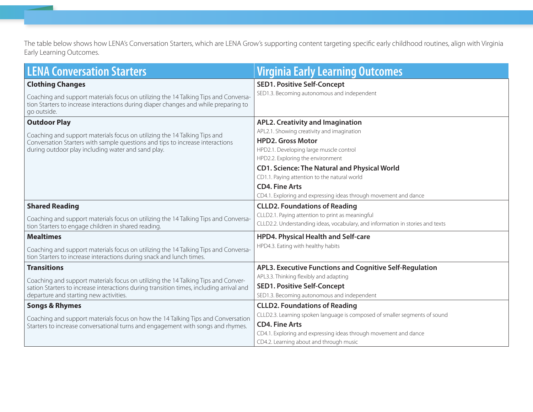The table below shows how LENA's Conversation Starters, which are LENA Grow's supporting content targeting specific early childhood routines, align with Virginia Early Learning Outcomes.

| <b>LENA Conversation Starters</b>                                                                                                                                                         | <b>Virginia Early Learning Outcomes</b>                                                                                            |  |  |  |  |  |
|-------------------------------------------------------------------------------------------------------------------------------------------------------------------------------------------|------------------------------------------------------------------------------------------------------------------------------------|--|--|--|--|--|
| <b>Clothing Changes</b>                                                                                                                                                                   | <b>SED1. Positive Self-Concept</b>                                                                                                 |  |  |  |  |  |
| Coaching and support materials focus on utilizing the 14 Talking Tips and Conversa-<br>tion Starters to increase interactions during diaper changes and while preparing to<br>go outside. | SED1.3. Becoming autonomous and independent                                                                                        |  |  |  |  |  |
| <b>Outdoor Play</b>                                                                                                                                                                       | <b>APL2. Creativity and Imagination</b>                                                                                            |  |  |  |  |  |
| Coaching and support materials focus on utilizing the 14 Talking Tips and                                                                                                                 | APL2.1. Showing creativity and imagination                                                                                         |  |  |  |  |  |
| Conversation Starters with sample questions and tips to increase interactions                                                                                                             | <b>HPD2. Gross Motor</b>                                                                                                           |  |  |  |  |  |
| during outdoor play including water and sand play.                                                                                                                                        | HPD2.1. Developing large muscle control                                                                                            |  |  |  |  |  |
|                                                                                                                                                                                           | HPD2.2. Exploring the environment                                                                                                  |  |  |  |  |  |
|                                                                                                                                                                                           | <b>CD1. Science: The Natural and Physical World</b>                                                                                |  |  |  |  |  |
|                                                                                                                                                                                           | CD1.1. Paying attention to the natural world                                                                                       |  |  |  |  |  |
|                                                                                                                                                                                           | <b>CD4. Fine Arts</b>                                                                                                              |  |  |  |  |  |
|                                                                                                                                                                                           | CD4.1. Exploring and expressing ideas through movement and dance                                                                   |  |  |  |  |  |
| <b>Shared Reading</b>                                                                                                                                                                     | <b>CLLD2. Foundations of Reading</b>                                                                                               |  |  |  |  |  |
| Coaching and support materials focus on utilizing the 14 Talking Tips and Conversa-<br>tion Starters to engage children in shared reading.                                                | CLLD2.1. Paying attention to print as meaningful<br>CLLD2.2. Understanding ideas, vocabulary, and information in stories and texts |  |  |  |  |  |
| <b>Mealtimes</b>                                                                                                                                                                          | HPD4. Physical Health and Self-care                                                                                                |  |  |  |  |  |
| Coaching and support materials focus on utilizing the 14 Talking Tips and Conversa-<br>tion Starters to increase interactions during snack and lunch times.                               | HPD4.3. Eating with healthy habits                                                                                                 |  |  |  |  |  |
| <b>Transitions</b>                                                                                                                                                                        | APL3. Executive Functions and Cognitive Self-Regulation                                                                            |  |  |  |  |  |
| Coaching and support materials focus on utilizing the 14 Talking Tips and Conver-                                                                                                         | APL3.3. Thinking flexibly and adapting                                                                                             |  |  |  |  |  |
| sation Starters to increase interactions during transition times, including arrival and                                                                                                   | <b>SED1. Positive Self-Concept</b>                                                                                                 |  |  |  |  |  |
| departure and starting new activities.                                                                                                                                                    | SED1.3. Becoming autonomous and independent                                                                                        |  |  |  |  |  |
| <b>Songs &amp; Rhymes</b>                                                                                                                                                                 | <b>CLLD2. Foundations of Reading</b>                                                                                               |  |  |  |  |  |
| Coaching and support materials focus on how the 14 Talking Tips and Conversation                                                                                                          | CLLD2.3. Learning spoken language is composed of smaller segments of sound                                                         |  |  |  |  |  |
| Starters to increase conversational turns and engagement with songs and rhymes.                                                                                                           | <b>CD4. Fine Arts</b>                                                                                                              |  |  |  |  |  |
|                                                                                                                                                                                           | CD4.1. Exploring and expressing ideas through movement and dance                                                                   |  |  |  |  |  |
|                                                                                                                                                                                           | CD4.2. Learning about and through music                                                                                            |  |  |  |  |  |